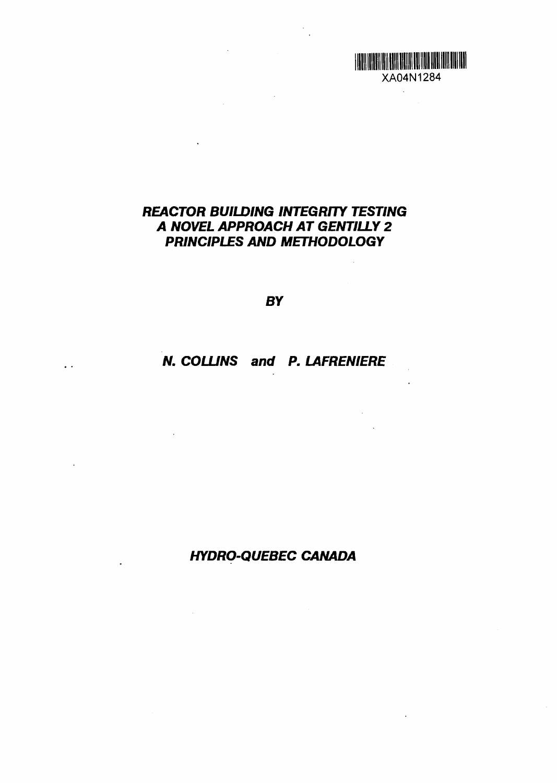

 $\hat{\mathcal{A}}$ 

XA04N1284

 $\ddot{\phantom{a}}$ 

**HOLD BEEN BEEN BEEN HERE IN THE REAL PROPERTY.** 

*BY*

# *N. COLUNS and P. LAFRENIERE*

 $\overline{\mathcal{L}}$  .

# *HYDRO-QUEBEC CAMADA*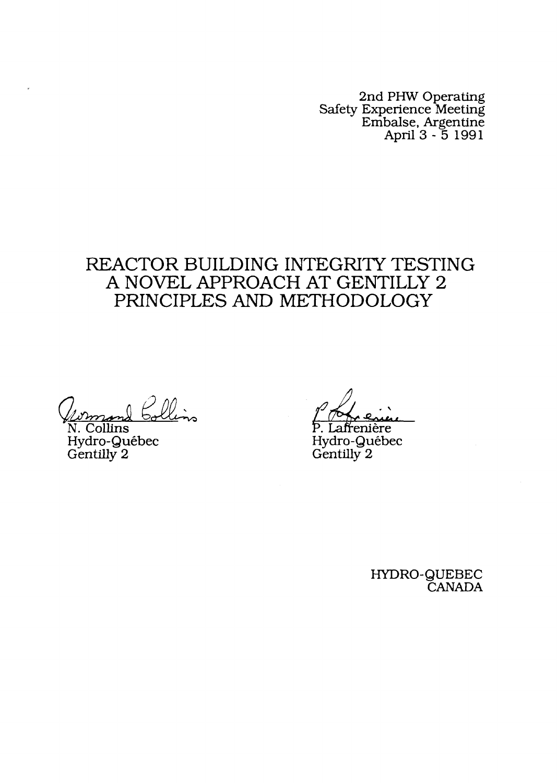2nd PHW Operating Safety Experience Meeting Embalse, Argentine April 3 - 5 1991

# REACTOR BUILDING INTEGRITY TESTING A NOVEL APPROACH AT GENTILLY 2 PRINCIPLES AND METHODOLOGY

 $\Omega$  Bollin

N. Collins P. Laftenier Hydro-Qu6bec Hydro-Qui,bec Gentilly 2 Gentilly 2

<u>مىيمە</u>

HYDRO-QUEBEC **CANADA**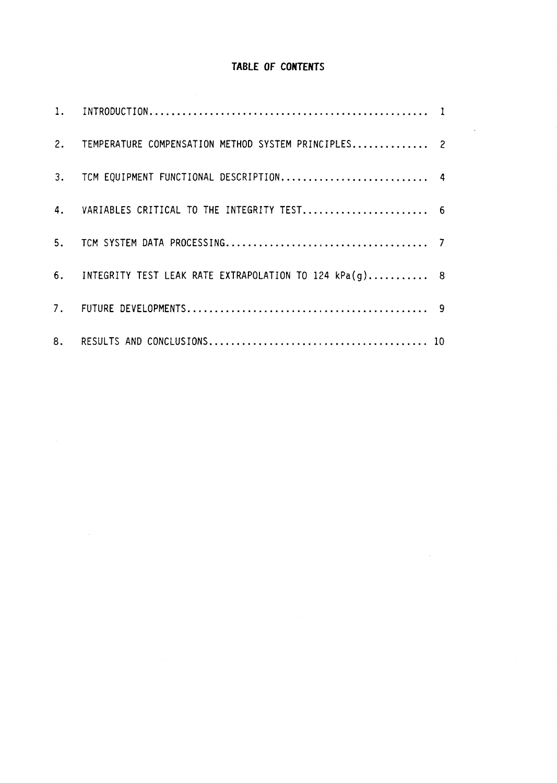# **TABLE OF CONTENTS**

 $\bar{z}$ 

 $\sim 10^{-10}$ 

| 2. TEMPERATURE COMPENSATION METHOD SYSTEM PRINCIPLES 2    |  |
|-----------------------------------------------------------|--|
| 3. TCM EQUIPMENT FUNCTIONAL DESCRIPTION 4                 |  |
| 4. VARIABLES CRITICAL TO THE INTEGRITY TEST 6             |  |
|                                                           |  |
| 6. INTEGRITY TEST LEAK RATE EXTRAPOLATION TO 124 kPa(g) 8 |  |
|                                                           |  |
|                                                           |  |

 $\sim 100$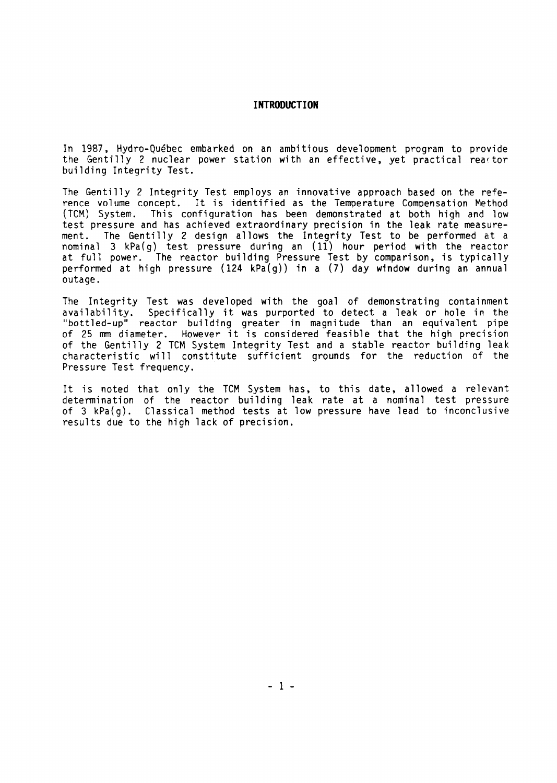# **INTRODUCTION**

In 1987, Hydro-Québec embarked on an ambitious development program to provide the Gentilly 2 nuclear power station with an effective, yet practical reartor building Integrity Test.

The Gentilly 2 Integrity Test employs an innovative approach based on the reference volume concept. It is identified as the Temperature Compensation Method<br>(TCM) System. This configuration has been demonstrated at both high and low This configuration has been demonstrated at both high and low test pressure and has achieved extraordinary precision in the leak rate measurement. The Gentilly 2 design allows the Integrity Test to be performed at a nominal 3 kPa(g) test pressure during an (11) hour period with the reactor at full power. The reactor building Pressure Test by comparison, is typically performed at high pressure  $(124 \text{ kPa}(q))$  in a  $(7)$  day window during an annual outage.

The Integrity Test was developed with the goal of demonstrating containment availability. Specifically it was purported to detect a leak or hole in the "bottled-up" reactor building greater in magnitude than an equivalent pipe of 25 mm diameter. However it is considered feasible that the high precision of the Gentilly 2 TCM System Integrity Test and a stable reactor building leak characteristic will constitute sufficient grounds for the reduction of the Pressure Test frequency.

It is noted that only the TCM System has, to this date, allowed a relevant determination of the reactor building leak rate at a nominal test pressure of 3 kPa(g). Classical method tests at low pressure have lead to inconclusive results due to the high lack of precision.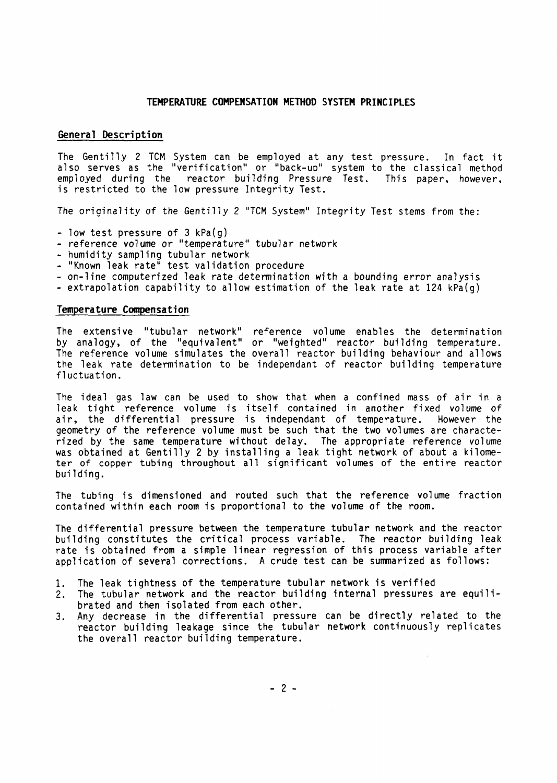#### **TEMPERATURE COMPENSATION METHOD SYSTEM PRINCIPLES**

### **General Description**

The Gentilly 2 TCM System can be employed at any test pressure. In fact it also serves as the "verification" or "back-up" system to the classical method employed during the reactor building Pressure Test. This paper, however, is restricted to the low pressure Integrity Test.

The originality of the Gentilly 2 "TCM System" Integrity Test stems from the:

- low test pressure of  $3 kPa(q)$
- -reference volume or "temperature" tubular network
- -humidity sampling tubular network
- "Known leak rate" test validation procedure
- -on-line computerized leak rate determination with a bounding error analysis
- extrapolation capability to allow estimation of the leak rate at  $124 \text{ kPa(q)}$

#### **Temperature Compensation**

The extensive "tubular network" reference volume enables the determination by analogy, of the "equivalent" or "weighted" reactor building temperature. The reference volume simulates the overall reactor building behaviour and allows the leak rate determination to be independent of reactor building temperature fluctuation.

The ideal gas law can be used to show that when a confined mass of air in a leak tight reference volume is itself contained in another fixed volume of<br>air, the differential pressure is independant of temperature. However the air, the differential pressure is independant of temperature. geometry of the reference volume must be such that the two volumes are characterized by the same temperature without delay. The appropriate reference volume was obtained at Gentil)y 2 by installing a leak tight network of about a kilometer of copper tubing throughout all significant volumes of the entire reactor building.

The tubing is dimensioned and routed such that the reference volume fraction contained within each room is proportional to the volume of the room.

The differential pressure between the temperature tubular network and the reactor building constitutes the critical process variable. The reactor building leak rate is obtained from a simple linear regression of this process variable after application of several corrections. A crude test can be summarized as follows:

- 1. The leak tightness of the temperature tubular network is verified
- 2. The tubular network and the reactor building internal pressures are equilibrated and then isolated from each other.
- 3. Any decrease in the differential pressure can be directly related to the reactor building leakage since the tubular network continuously replicates the overall reactor building temperature.

 $-2-$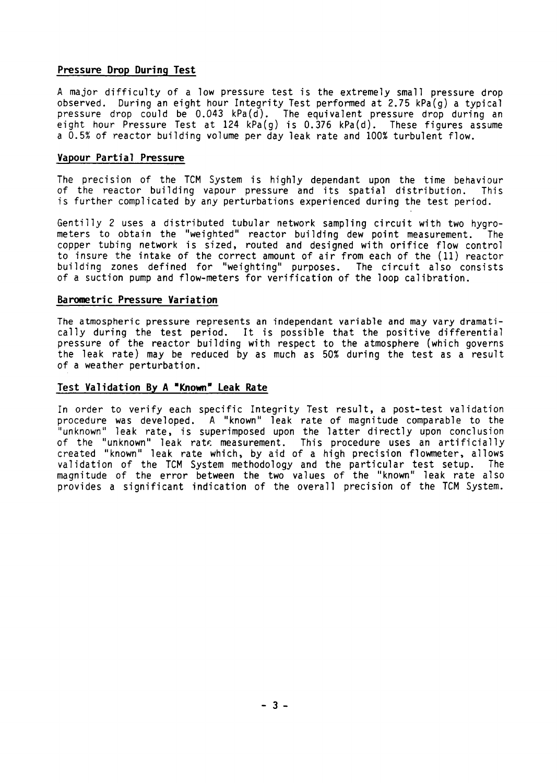# **Pressure Drop During Test**

A major difficulty of a low pressure test is the extremely small pressure drop observed. During an eight hour Integrity Test performed at 2.75 kPa(q) a typical pressure drop could be 0.043 kPa(d). The equivalent pressure drop during an eight hour Pressure Test at 124 kPa(g) is 0.376 kPa(d). These figures assume a 0.5% of reactor building volume per day leak rate and 100% turbulent flow.

# **Vapour Partial Pressure**

The precision of the TCM System is highly dependent upon the time behaviour of the reactor building vapour pressure and its spatial distribution. This is further complicated by any perturbations experienced during the test period.

Gentilly 2 uses a distributed tubular network sampling circuit with two hygrometers to obtain the "weighted" reactor building dew point measurement. The copper tubing network is sized, routed and designed with orifice flow control to insure the intake of the correct amount of air from each of the (11) reactor building zones defined for "weighting" purposes. The circuit also consists of a suction pump and flow-meters for verification of the loop calibration.

# **Barometric Pressure Variation**

The atmospheric pressure represents an independent variable and may vary dramatically during the test period. It is possible that the positive differential pressure of the reactor building with respect to the atmosphere (which governs the leak rate) may be reduced by as much as 50% during the test as a result of a weather perturbation.

# .Test **Validation By A 'Known' Leak Rate**

In order to verify each specific Integrity Test result, a post-test validation procedure was developed. A "known" leak rate of magnitude comparable to the "unknown" leak rate, is superimposed upon the latter directly upon conclusion of the "unknown" leak rate measurement. This procedure uses an artificially created "known" leak rate which, by aid of a high precision flowmeter, allows validation of the TCM System methodology and the particular test setup. The magnitude of the error between the two values of the "known" leak rate also provides a significant indication of the overall precision of the TCM System.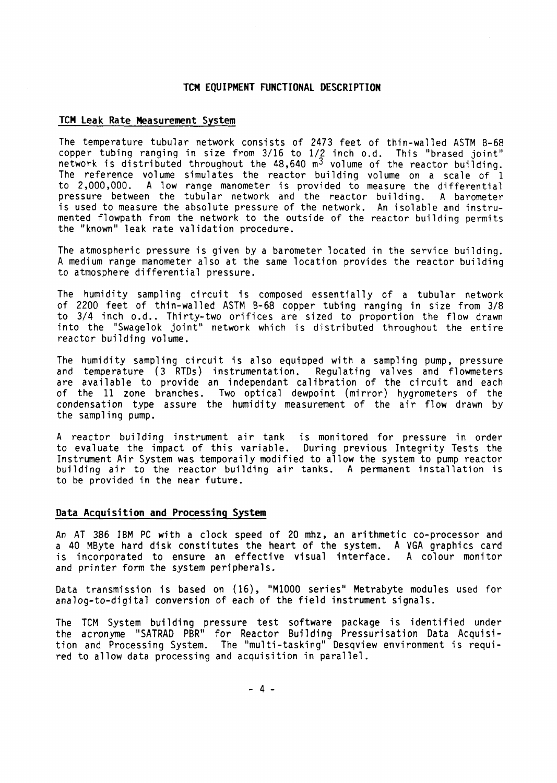# **TCM EQUIPMENT FUNCTIONAL DESCRIPTION**

#### **TCM Leak Rate Measurement System**

The temperature tubular network consists of 2473 feet of thin-walled ASTM B-68 copper tubing ranging in size from 3/16 to 1/2 inch o.d. This "brased joint" network is distributed throughout the  $48,640$  m<sup>3</sup> volume of the reactor building The reference volume simulates the reactor building volume on a scale of 1 to 2,000,000. A low range manometer is provided to measure the differential pressure between the tubular network and the reactor building. A barometer is used to measure the absolute pressure of the network. An isolable and instrumented flowpath from the network to the outside of the reactor building permits the "known" leak rate validation procedure.

The atmospheric pressure is given by a barometer located in the service building. A medium range manometer also at the same location provides the reactor building to atmosphere differential pressure.

The humidity sampling circuit is composed essentially of a tubular network of 2200 feet of thin-walled ASTM B-68 copper tubing ranging in size from 3/8 to 34 inch o.d.. Thirty-two orifices are sized to proportion the flow drawn into the "Swagelok joint" network which is distributed throughout the entire reactor building volume.

The humidity sampling circuit is also equipped with a sampling pump, pressure and temperature (3 RTDs) instrumentation. Regulating valves and flowmeters are available to provide an independant calibration of the circuit and each<br>of the 11 zone branches. Two optical dewpoint (mirror) hygrometers of the Two optical dewpoint (mirror) hygrometers of the condensation type assure the humidity measurement of the air flow drawn by the sampling pump.

A reactor building instrument air tank is monitored for pressure in orde<sup>r</sup> to evaluate the impact of this variable. During previous Integrity Tests the Instrument Air System was temporaily modified to allow the system to pump reactor building air to the reactor building air tanks. A permanent installation is to be provided in the near future.

#### **Data Acquisition and Processing System**

An AT 386 IBM PC with a clock speed of 20 mhz, an arithmetic co-processor and a 40 MByte hard disk constitutes the heart of the system. A VGA graphics card is incorporated to ensure an effective visual interface. A colour monitor and printer form the system peripherals.

Data transmission is based on (16), "M1000 series" Metrabyte modules used for analog-to-digital conversion of each of the field instrument signals.

The TCM System building pressure test software package is identified under the acronyme "SATRAD PBR" for Reactor Building Pressurisation Data Acquisition and Processing System. The "multi-tasking" Desqview environment is required to allow data processing and acquisition in parallel.

- 4 -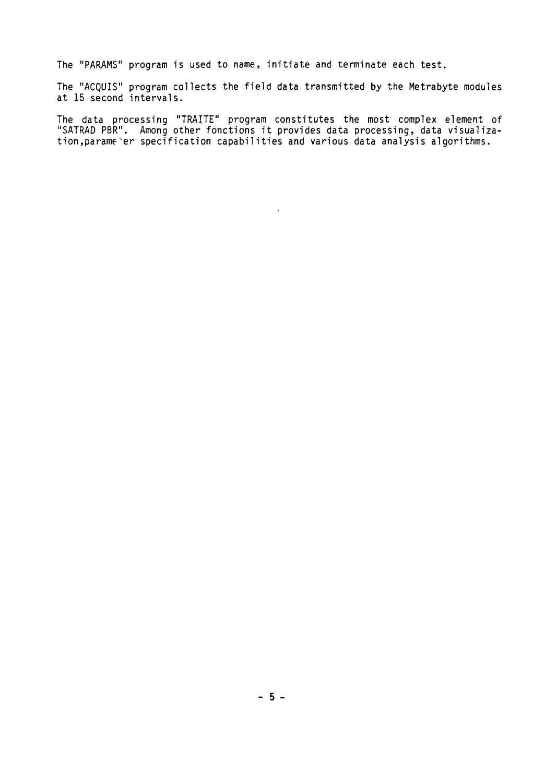The "PARAMS" program is used to name, initiate and terminate each test.

The "ACQUIS" program collects the field data transmitted **by** the Metrabyte modules at 15 second intervals.

The data processing "TRAITE" program constitutes the most complex element o "SATRAD PBR". Among other fonctions it provides data processing, data visualization,parame er specification capabilities and various data analysis algorithms

 $\sim$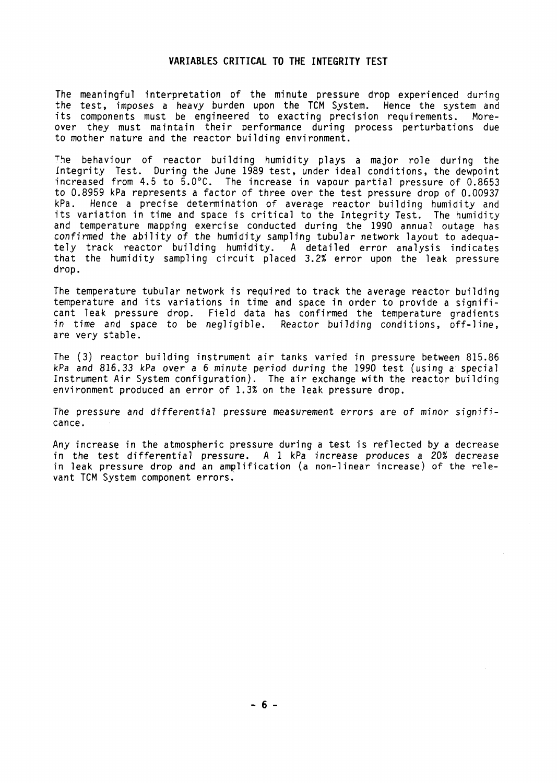# **VARIABLES CRITICAL TO THE INTEGRITY TEST**

The meaningful interpretation of the minute pressure drop experienced during the test, imposes a heavy burden upon the TCM System. Hence the system and<br>its components must be engineered to exacting precision requirements. Moreits components must be engineered to exacting precision requirements. over they must maintain their performance during process perturbations due to mother nature and the reactor building environment.

The behaviour of reactor building humidity plays a major role during the Integrity Test. During the June 1989 test, under ideal conditions, the dewpoint increased from 4.5 to  $\frac{5.0^{\circ}C}{1.5}$ . The increase in vapour partial pressure of 0.8653 to 0.8959 kPa represents a factor of three over the test pressure drop of 0.00937<br>kPa, Hence a precise determination of average reactor building humidity and Hence a precise determination of average reactor building humidity and its variation in time and space is critical to the Integrity Test. The humidity and temperature mapping exercise conducted during the 1990 annual outage has confirmed the ability of the humidity sampling tubular network layout to adequately track reactor building humidity. A detailed error analysis indicates that the humidity sampling circuit placed 32% error upon the leak pressure drop.

The temperature tubular network is required to track the average reactor building temperature and its variations in time and space in order to provide a significant leak pressure drop. Field data has confirmed the temperature gradients in time and space to be negligible. Reactor building conditions, off-line, are very stable.

The (3) reactor building instrument air tanks varied in pressure between 815.86 kPa and 816.33 kPa over a 6 minute period during the 1990 test (using a special Instrument Air System configuration). The air exchange with the reactor building environment produced an error of 13% on the leak pressure drop.

The pressure and differential pressure measurement errors are of minor significance.

Any increase in the atmospheric pressure during a test is reflected by a decrease in the test differential pressure. A I kPa increase produces a 20% decrease in leak pressure drop and an amplification (a non-linear increase) of the relevant TCM System component errors.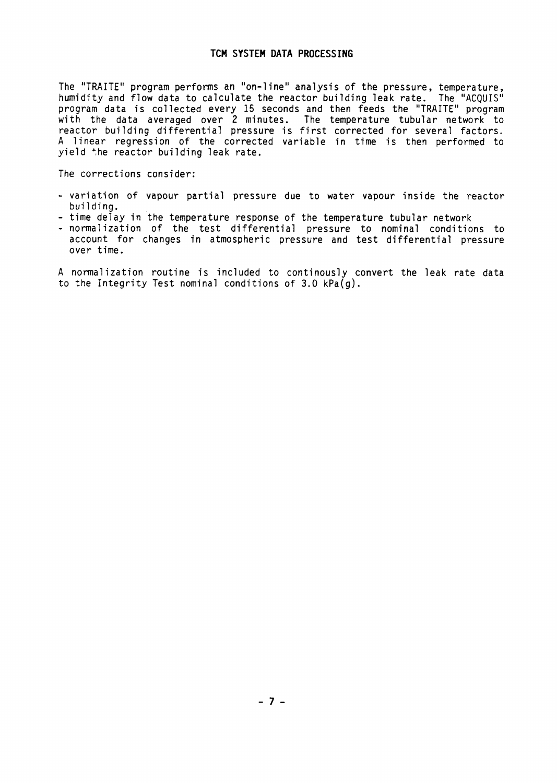# **TCM SYSTEM DATA PROCESSING**

The "TRAITE" program performs an "on-line" analysis of the pressure, temperature, humidity and flow data to calculate the reactor building leak rate. The "ACQUIS" program data is collected every 15 seconds and then feeds the "TRAITE" program with the data averaged over 2 minutes. The temperature tubular network to reactor building differential pressure is first corrected for several factors. A linear regression of the corrected variable in time is then performed to yield the reactor building leak rate.

The corrections consider:

- variation of vapour partial pressure due to water vapour inside the reactor building.
- time delay in the temperature response of the temperature tubular network
- normalization of the test differential pressure to nominal conditions to account for changes in atmospheric pressure and test differential pressure over time.

A normalization routine is included to continously convert the leak rate data to the Integrity Test nominal conditions of 3.0 kPa(g).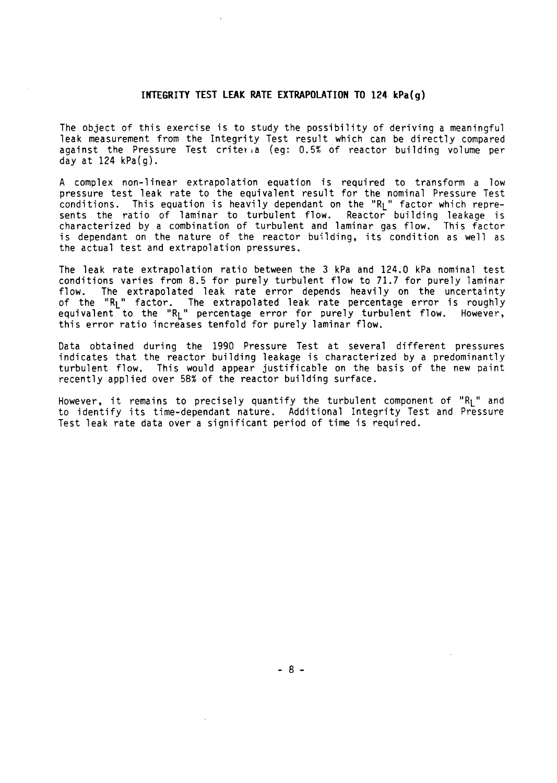# **INTEGRITY TEST LEAK RATE EXTRAPOLATION TO 124 kPa(g)**

The object of this exercise is to study the possibility of deriving a meaningful leak measurement from the Integrity Test result which can be directly compared against the Pressure Test criteria (eg: 0.5% of reactor building volume per day at 124 kPa(g).

A complex non-linear extrapolation equation is required to transform a low pressure test leak rate to the equivalent result for the nominal Pressure Tes conditions. This equation is heavily dependant on the "R<sub>L</sub>" factor which represents the ratio of laminar to turbulent flow. Reactor building leakage i characterized by a combination of turbulent and laminar gas flow. This factor is dependent on the nature of the reactor building, its condition as well as the actual test and extrapolation pressures.

The leak rate extrapolation ratio between the 3 kPa and 124.0 kPa nominal test conditions varies from 8.5 for purely turbulent flow to 71.7 for purely laminar flow. The extrapolated leak rate error depends heavily on the uncertainty of the "R<sub>L</sub>" factor. The extrapolated leak rate percentage error is roughly equivalent to the "R<sub>L</sub>" percentage error for purely turbulent flow. However this error ratio increases tenfold for purely laminar flow.

Data obtained during the 1990 Pressure Test at several different pressures indicates that the reactor building leakage is characterized by a predominantly turbulent flow. This would appear justificable on the basis of the new paint recently applied over 58% of the reactor building surface.

However, it remains to precisely quantify the turbulent component of " $R_1$ " and to identify its time-dependant nature. Additional Integrity Test and Pressure Test leak rate data over a significant period of time is required.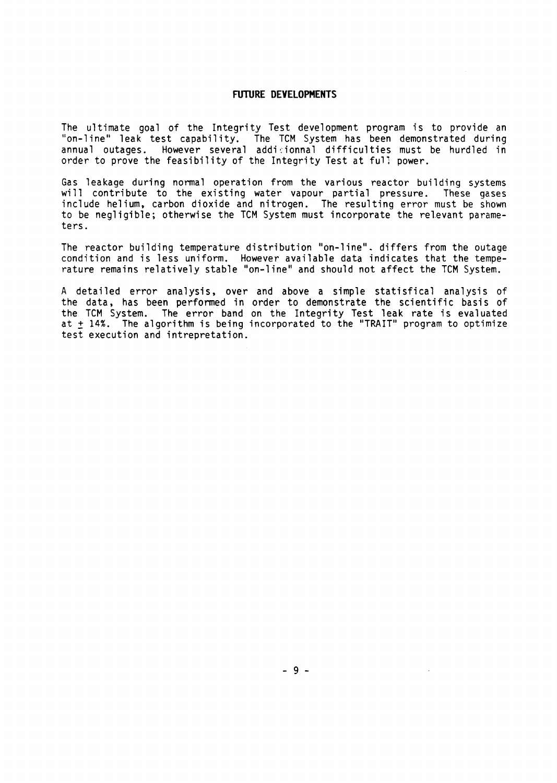## **FUTURE DEVELOPMENTS**

The ultimate goal of the Integrity Test development program is to provide an "on-line" leak test capability. The TCM System has been demonstrated during annual outages. However several addicionnal difficulties must be hurdled in order to prove the feasibility of the Integrity Test at full power.

Gas leakage during normal operation from the various reactor building systems will contribute to the existing water vapour partial pressure. These gases include helium, carbon dioxide and nitrogen. The resulting error must be shown to be negligible; otherwise the TCM System must incorporate the relevant parameters.

The reactor building temperature distribution "on-line". differs from the outage condition and is less uniform. However available data indicates that the temperature remains relatively stable "on-line" and should not affect the TCM System.

A detailed error analysis, over and above a simple statistical analysis of the data, has been performed in order to demonstrate the scientific basis of the TCM System. The error band on the Integrity Test leak rate is evaluated at ± 14%. The algorithm is being incorporated to the "TRAIT" program to optimize test execution and intrepretation.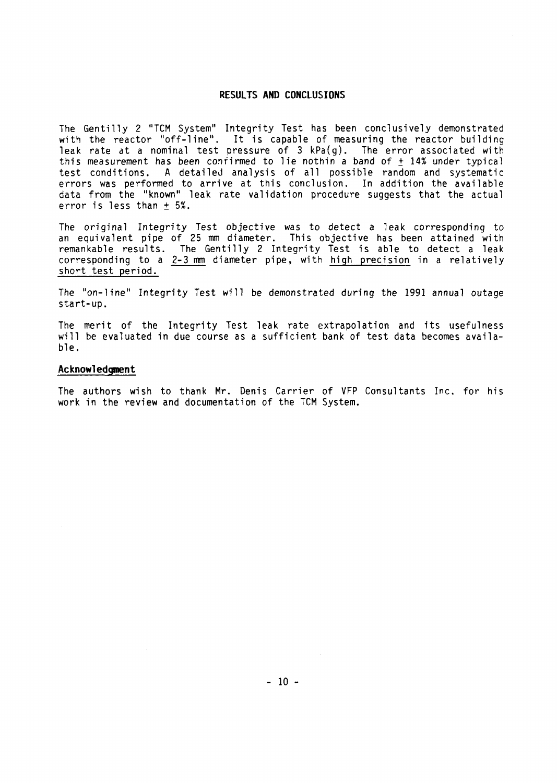### **RESULTS AND CONCLUSIONS**

The Gentilly 2 "TCM System" Integrity Test has been conclusively demonstrated with the reactor "off-line". It is capable of measuring the reactor building leak rate at a nominal test pressure of  $3 \text{ kPa(q)}$ . The error associated with this measurement has been confirmed to lie nothin a band of  $\pm$  14% under typical test conditions. A detailed analysis of all possible random and systematic errors was performed to arrive at this conclusion. In addition the available data from the "known" leak rate validation procedure suggests that the actual error is less than  $\pm$  5%.

The original Integrity Test objective was to detect a leak corresponding to an equivalent pipe of 25 mm diameter. This objective has been attained with remankable results. The Gentilly 2 Integrity Test is able to detect a leak corresponding to a  $2-3$  mm diameter pipe, with high precision in a relatively short test period.

The "on-line" Integrity Test will be demonstrated during the 1991 annual outage start-up.

The merit of the Integrity Test leak rate extrapolation and its usefulness will be evaluated in due course as a sufficient bank of test data becomes available.

#### **Acknowledgment**

The authors wish to thank Mr. Denis Carrier of VFP Consultants Inc. for his work in the review and documentation of the TCM System.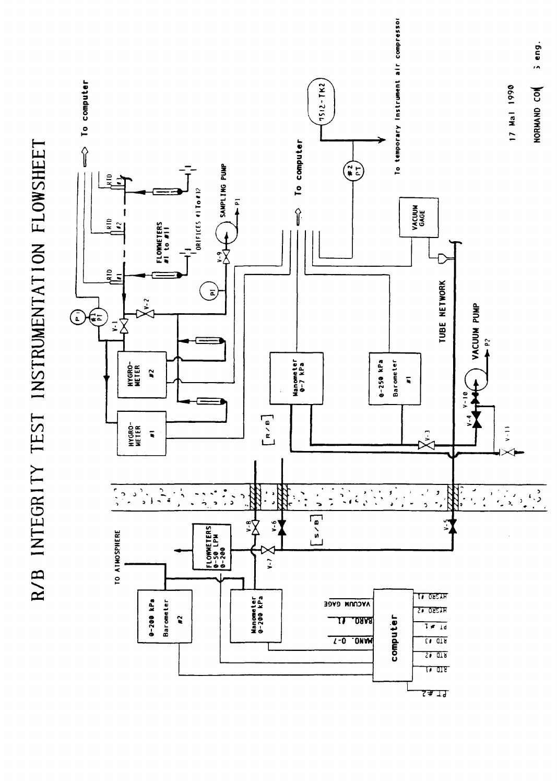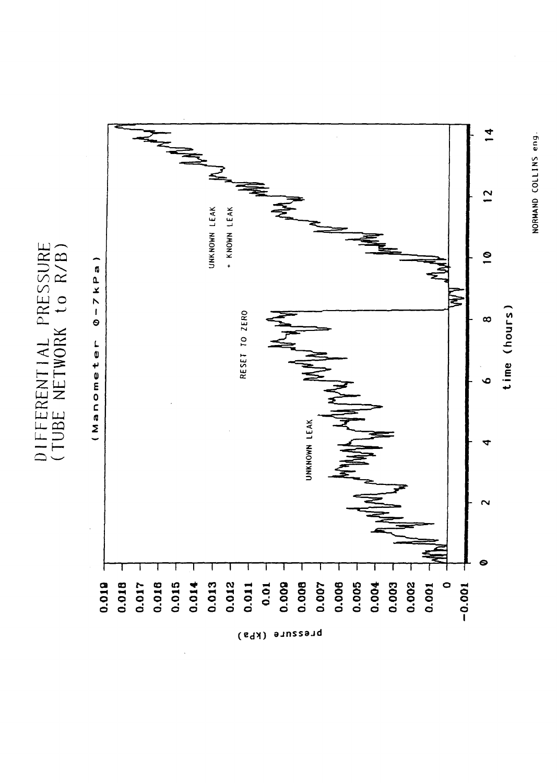DIFFERENTIAL PRESSURE<br>(TUBE NETWORK to R/B)



NORMAND COLLINS eng.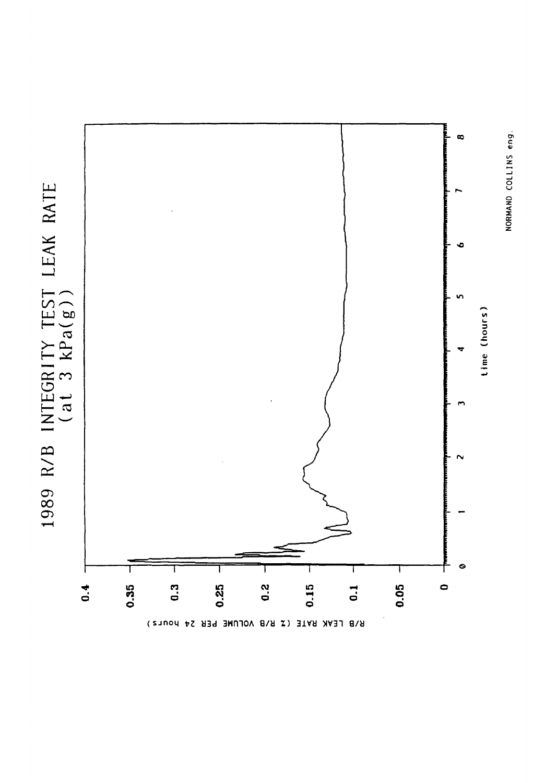

NORMAND COLLINS eng.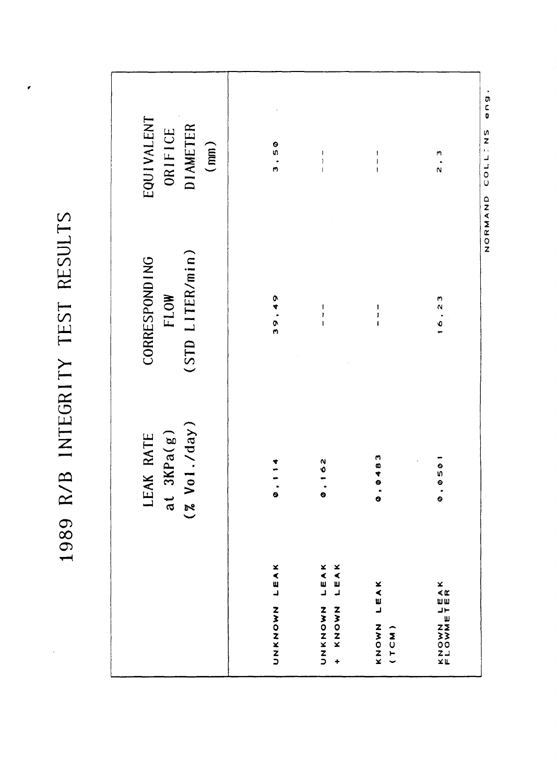1989 R/B INTEGRITY TEST RESULTS

 $\mathbf{r}$ 

|                                                          | $(2 \text{ Vol.}/day)$<br>3KPa(g)<br>LEAK RATE<br>$\overline{a}$ | (STD LITER/min)<br><b>CORRESPONDING</b><br><b>FLOW</b> | <b>EQUIVALENT</b><br><b>DIAMETER</b><br>ORIFICE<br>(mn) |
|----------------------------------------------------------|------------------------------------------------------------------|--------------------------------------------------------|---------------------------------------------------------|
| LEAK<br>ZZZOZZZ                                          | $\bullet$                                                        | 0<br>4<br>თ<br>ო                                       | o<br>9 -<br>m                                           |
| LEAK<br>LEAK<br>ZZOZXZJ<br>ZNOZY<br>$\ddot{\phantom{1}}$ | $\frac{2}{3}$<br>$\bullet$                                       | ı<br>Ï                                                 | I<br>$\mathbf{I}$                                       |
| LEAK<br>ZZZOZ<br>(TCM)                                   | 6483<br>$\bullet$                                                | $\mathbf{I}$<br>I<br>$\overline{1}$                    | I<br>Ī                                                  |
| KNOWN LEAK<br>FLOWNETER                                  | 。<br>950<br>$\dot{\bullet}$                                      | 16, 23                                                 | m<br>$\mathbf{\hat{N}}$                                 |

NORMAND COLLIONS eng.